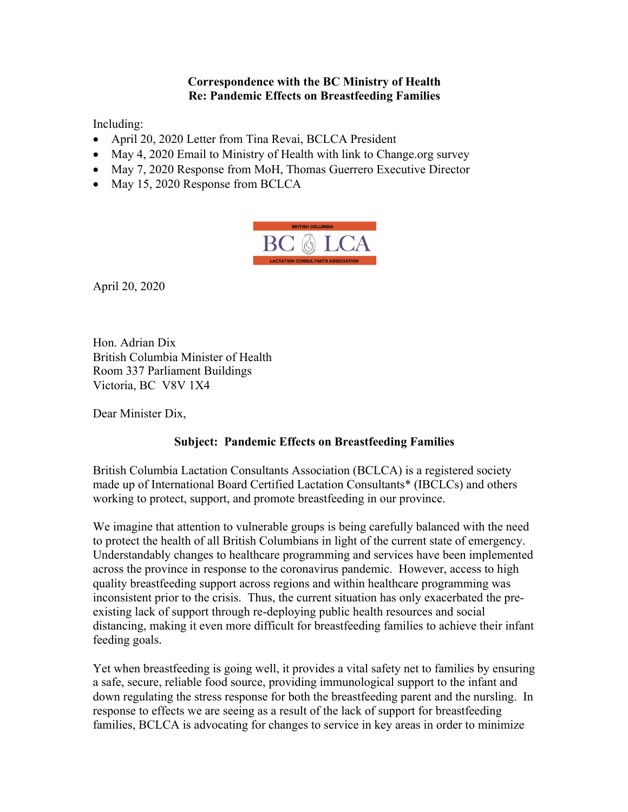## **Correspondence with the BC Ministry of Health Re: Pandemic Effects on Breastfeeding Families**

Including:

- April 20, 2020 Letter from Tina Revai, BCLCA President
- May 4, 2020 Email to Ministry of Health with link to Change.org survey
- May 7, 2020 Response from MoH, Thomas Guerrero Executive Director
- May 15, 2020 Response from BCLCA



April 20, 2020

Hon. Adrian Dix British Columbia Minister of Health Room 337 Parliament Buildings Victoria, BC V8V 1X4

Dear Minister Dix,

## **Subject: Pandemic Effects on Breastfeeding Families**

British Columbia Lactation Consultants Association (BCLCA) is a registered society made up of International Board Certified Lactation Consultants\* (IBCLCs) and others working to protect, support, and promote breastfeeding in our province.

We imagine that attention to vulnerable groups is being carefully balanced with the need to protect the health of all British Columbians in light of the current state of emergency. Understandably changes to healthcare programming and services have been implemented across the province in response to the coronavirus pandemic. However, access to high quality breastfeeding support across regions and within healthcare programming was inconsistent prior to the crisis. Thus, the current situation has only exacerbated the preexisting lack of support through re-deploying public health resources and social distancing, making it even more difficult for breastfeeding families to achieve their infant feeding goals.

Yet when breastfeeding is going well, it provides a vital safety net to families by ensuring a safe, secure, reliable food source, providing immunological support to the infant and down regulating the stress response for both the breastfeeding parent and the nursling. In response to effects we are seeing as a result of the lack of support for breastfeeding families, BCLCA is advocating for changes to service in key areas in order to minimize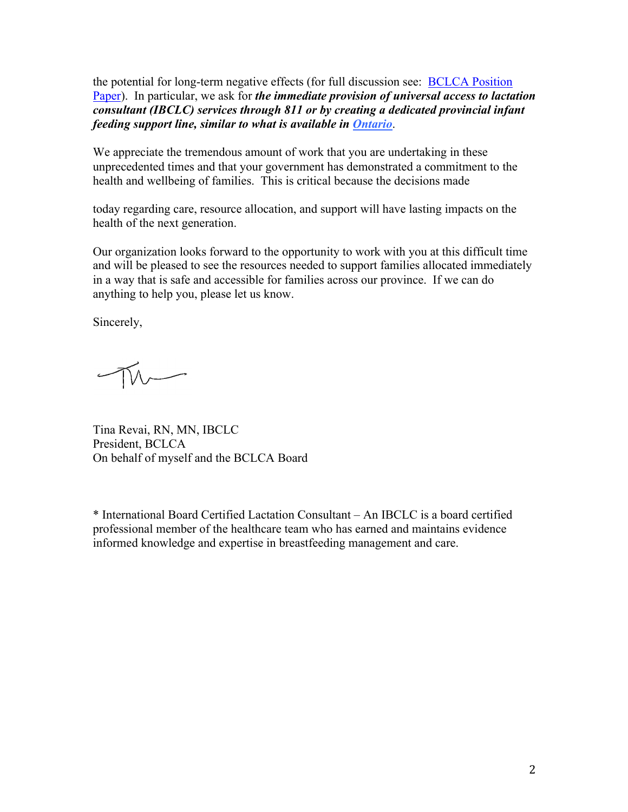the potential for long-term negative effects (for full discussion see: BCLCA Position Paper). In particular, we ask for *the immediate provision of universal access to lactation consultant (IBCLC) services through 811 or by creating a dedicated provincial infant feeding support line, similar to what is available in Ontario*.

We appreciate the tremendous amount of work that you are undertaking in these unprecedented times and that your government has demonstrated a commitment to the health and wellbeing of families. This is critical because the decisions made

today regarding care, resource allocation, and support will have lasting impacts on the health of the next generation.

Our organization looks forward to the opportunity to work with you at this difficult time and will be pleased to see the resources needed to support families allocated immediately in a way that is safe and accessible for families across our province. If we can do anything to help you, please let us know.

Sincerely,

Tina Revai, RN, MN, IBCLC President, BCLCA On behalf of myself and the BCLCA Board

\* International Board Certified Lactation Consultant – An IBCLC is a board certified professional member of the healthcare team who has earned and maintains evidence informed knowledge and expertise in breastfeeding management and care.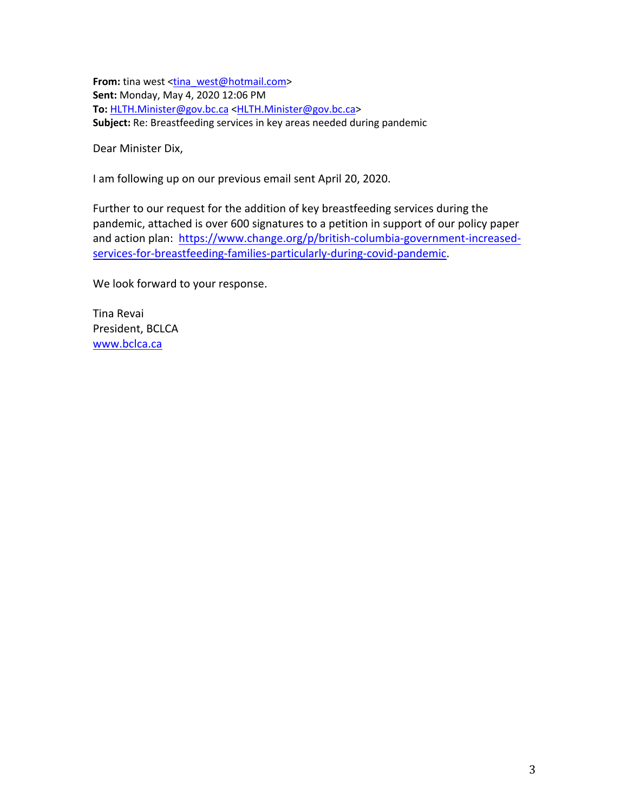**From:** tina west <tina\_west@hotmail.com> **Sent:** Monday, May 4, 2020 12:06 PM **To:** HLTH.Minister@gov.bc.ca <HLTH.Minister@gov.bc.ca> **Subject:** Re: Breastfeeding services in key areas needed during pandemic

Dear Minister Dix,

I am following up on our previous email sent April 20, 2020.

Further to our request for the addition of key breastfeeding services during the pandemic, attached is over 600 signatures to a petition in support of our policy paper and action plan: https://www.change.org/p/british-columbia-government-increasedservices-for-breastfeeding-families-particularly-during-covid-pandemic.

We look forward to your response.

Tina Revai President, BCLCA www.bclca.ca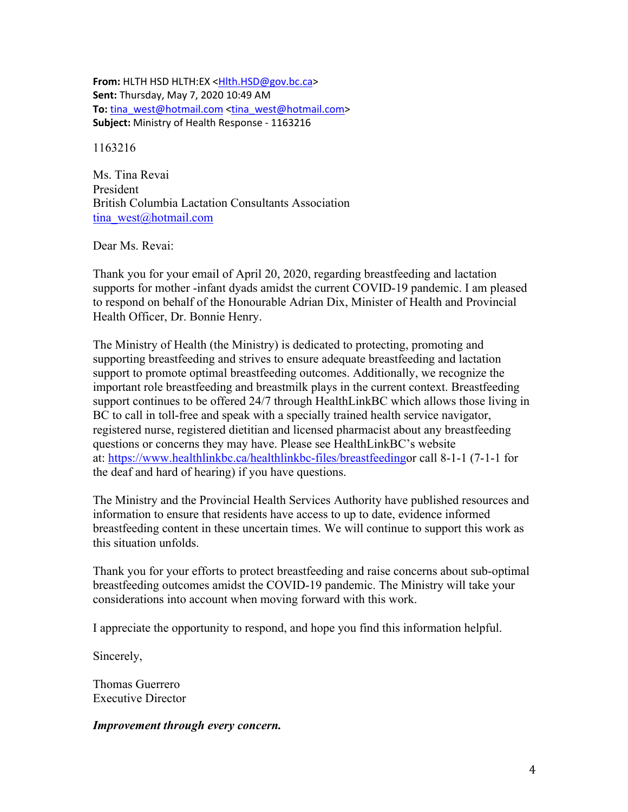**From:** HLTH HSD HLTH:EX <Hlth.HSD@gov.bc.ca> **Sent:** Thursday, May 7, 2020 10:49 AM **To:** tina\_west@hotmail.com <tina\_west@hotmail.com> **Subject:** Ministry of Health Response - 1163216

1163216

Ms. Tina Revai President British Columbia Lactation Consultants Association tina\_west@hotmail.com

Dear Ms. Revai:

Thank you for your email of April 20, 2020, regarding breastfeeding and lactation supports for mother -infant dyads amidst the current COVID-19 pandemic. I am pleased to respond on behalf of the Honourable Adrian Dix, Minister of Health and Provincial Health Officer, Dr. Bonnie Henry.

The Ministry of Health (the Ministry) is dedicated to protecting, promoting and supporting breastfeeding and strives to ensure adequate breastfeeding and lactation support to promote optimal breastfeeding outcomes. Additionally, we recognize the important role breastfeeding and breastmilk plays in the current context. Breastfeeding support continues to be offered 24/7 through HealthLinkBC which allows those living in BC to call in toll-free and speak with a specially trained health service navigator, registered nurse, registered dietitian and licensed pharmacist about any breastfeeding questions or concerns they may have. Please see HealthLinkBC's website at: https://www.healthlinkbc.ca/healthlinkbc-files/breastfeedingor call 8-1-1 (7-1-1 for the deaf and hard of hearing) if you have questions.

The Ministry and the Provincial Health Services Authority have published resources and information to ensure that residents have access to up to date, evidence informed breastfeeding content in these uncertain times. We will continue to support this work as this situation unfolds.

Thank you for your efforts to protect breastfeeding and raise concerns about sub-optimal breastfeeding outcomes amidst the COVID-19 pandemic. The Ministry will take your considerations into account when moving forward with this work.

I appreciate the opportunity to respond, and hope you find this information helpful.

Sincerely,

Thomas Guerrero Executive Director

*Improvement through every concern.*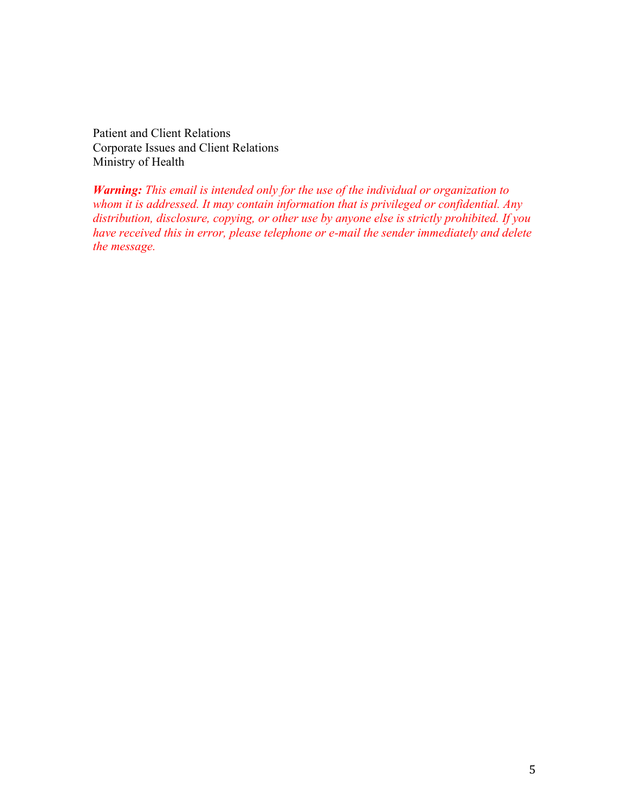Patient and Client Relations Corporate Issues and Client Relations Ministry of Health

*Warning: This email is intended only for the use of the individual or organization to whom it is addressed. It may contain information that is privileged or confidential. Any distribution, disclosure, copying, or other use by anyone else is strictly prohibited. If you have received this in error, please telephone or e-mail the sender immediately and delete the message.*